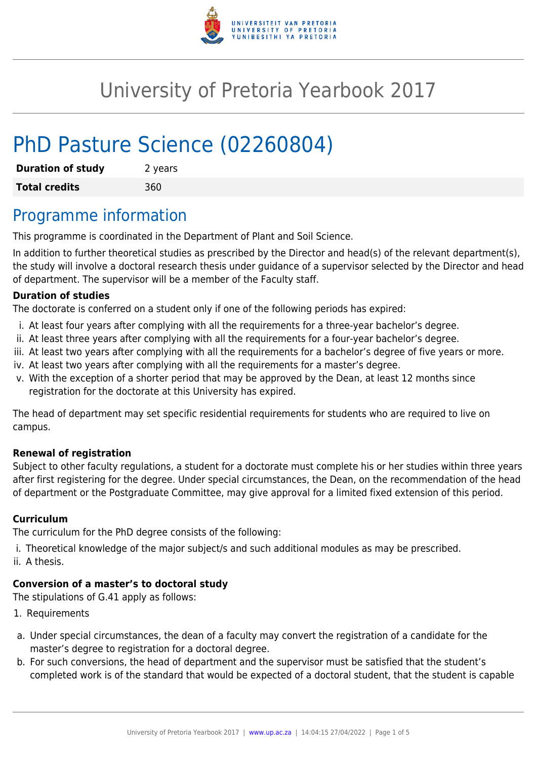

# University of Pretoria Yearbook 2017

# PhD Pasture Science (02260804)

| <b>Duration of study</b> | 2 years |
|--------------------------|---------|
| <b>Total credits</b>     | 360     |

# Programme information

This programme is coordinated in the Department of Plant and Soil Science.

In addition to further theoretical studies as prescribed by the Director and head(s) of the relevant department(s), the study will involve a doctoral research thesis under guidance of a supervisor selected by the Director and head of department. The supervisor will be a member of the Faculty staff.

#### **Duration of studies**

The doctorate is conferred on a student only if one of the following periods has expired:

- i. At least four years after complying with all the requirements for a three-year bachelor's degree.
- ii. At least three years after complying with all the requirements for a four-year bachelor's degree.
- iii. At least two years after complying with all the requirements for a bachelor's degree of five years or more.
- iv. At least two years after complying with all the requirements for a master's degree.
- v. With the exception of a shorter period that may be approved by the Dean, at least 12 months since registration for the doctorate at this University has expired.

The head of department may set specific residential requirements for students who are required to live on campus.

#### **Renewal of registration**

Subject to other faculty regulations, a student for a doctorate must complete his or her studies within three years after first registering for the degree. Under special circumstances, the Dean, on the recommendation of the head of department or the Postgraduate Committee, may give approval for a limited fixed extension of this period.

#### **Curriculum**

The curriculum for the PhD degree consists of the following:

- i. Theoretical knowledge of the major subject/s and such additional modules as may be prescribed.
- ii. A thesis.

### **Conversion of a master's to doctoral study**

The stipulations of G.41 apply as follows:

- 1. Requirements
- a. Under special circumstances, the dean of a faculty may convert the registration of a candidate for the master's degree to registration for a doctoral degree.
- b. For such conversions, the head of department and the supervisor must be satisfied that the student's completed work is of the standard that would be expected of a doctoral student, that the student is capable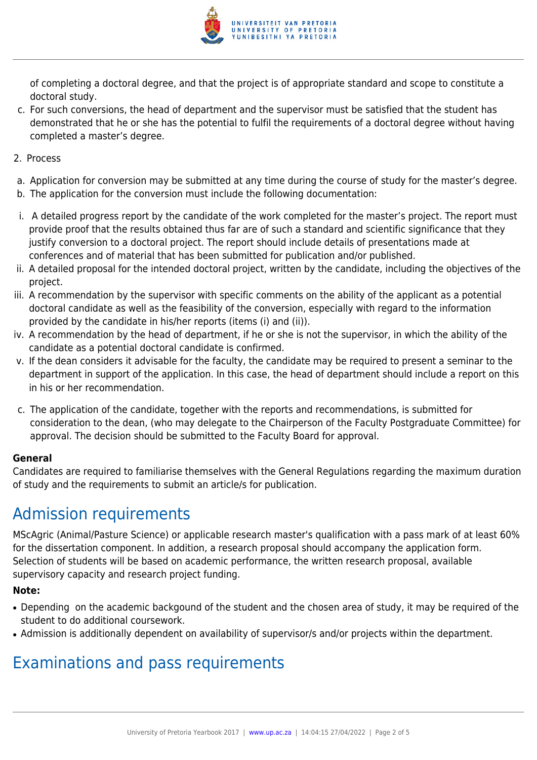

of completing a doctoral degree, and that the project is of appropriate standard and scope to constitute a doctoral study.

- c. For such conversions, the head of department and the supervisor must be satisfied that the student has demonstrated that he or she has the potential to fulfil the requirements of a doctoral degree without having completed a master's degree.
- 2. Process
- a. Application for conversion may be submitted at any time during the course of study for the master's degree.
- b. The application for the conversion must include the following documentation:
- i. A detailed progress report by the candidate of the work completed for the master's project. The report must provide proof that the results obtained thus far are of such a standard and scientific significance that they justify conversion to a doctoral project. The report should include details of presentations made at conferences and of material that has been submitted for publication and/or published.
- ii. A detailed proposal for the intended doctoral project, written by the candidate, including the objectives of the project.
- iii. A recommendation by the supervisor with specific comments on the ability of the applicant as a potential doctoral candidate as well as the feasibility of the conversion, especially with regard to the information provided by the candidate in his/her reports (items (i) and (ii)).
- iv. A recommendation by the head of department, if he or she is not the supervisor, in which the ability of the candidate as a potential doctoral candidate is confirmed.
- v. If the dean considers it advisable for the faculty, the candidate may be required to present a seminar to the department in support of the application. In this case, the head of department should include a report on this in his or her recommendation.
- c. The application of the candidate, together with the reports and recommendations, is submitted for consideration to the dean, (who may delegate to the Chairperson of the Faculty Postgraduate Committee) for approval. The decision should be submitted to the Faculty Board for approval.

#### **General**

Candidates are required to familiarise themselves with the General Regulations regarding the maximum duration of study and the requirements to submit an article/s for publication.

# Admission requirements

MScAgric (Animal/Pasture Science) or applicable research master's qualification with a pass mark of at least 60% for the dissertation component. In addition, a research proposal should accompany the application form. Selection of students will be based on academic performance, the written research proposal, available supervisory capacity and research project funding.

#### **Note:**

- Depending on the academic backgound of the student and the chosen area of study, it may be required of the student to do additional coursework.
- Admission is additionally dependent on availability of supervisor/s and/or projects within the department.

# Examinations and pass requirements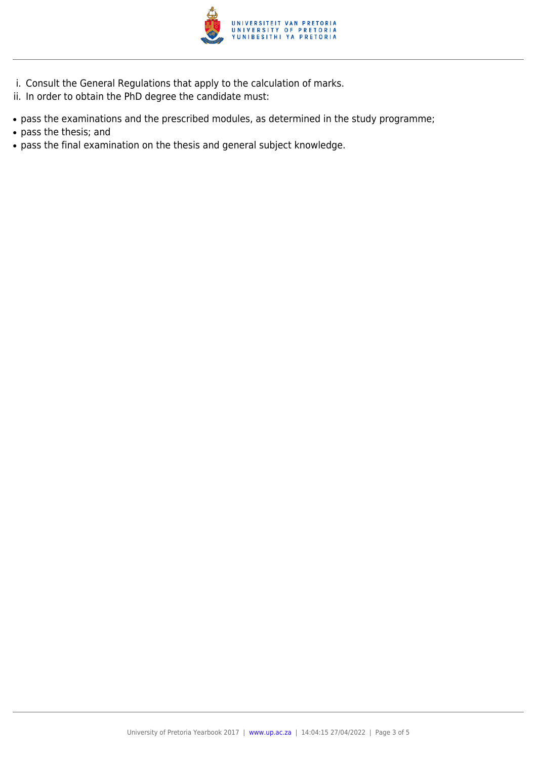

- i. Consult the General Regulations that apply to the calculation of marks.
- ii. In order to obtain the PhD degree the candidate must:
- pass the examinations and the prescribed modules, as determined in the study programme;
- pass the thesis; and
- pass the final examination on the thesis and general subject knowledge.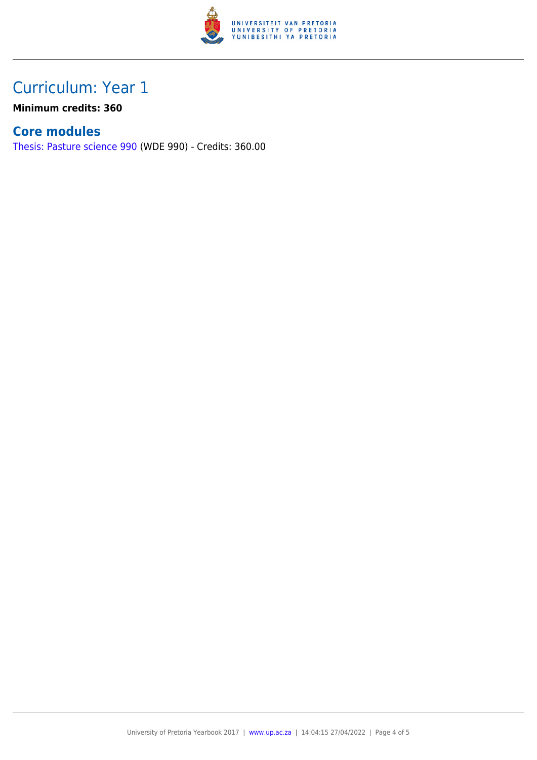

## Curriculum: Year 1

**Minimum credits: 360**

### **Core modules**

[Thesis: Pasture science 990](https://www.up.ac.za/yearbooks/2017/modules/view/WDE 990) (WDE 990) - Credits: 360.00